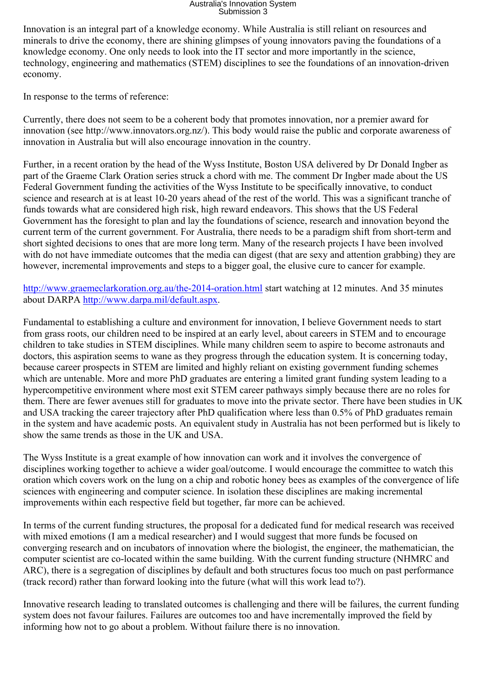## Australia's Innovation System Submission 3

Innovation is an integral part of a knowledge economy. While Australia is still reliant on resources and minerals to drive the economy, there are shining glimpses of young innovators paving the foundations of a knowledge economy. One only needs to look into the IT sector and more importantly in the science, technology, engineering and mathematics (STEM) disciplines to see the foundations of an innovation-driven economy.

In response to the terms of reference:

Currently, there does not seem to be a coherent body that promotes innovation, nor a premier award for innovation (see http://www.innovators.org.nz/). This body would raise the public and corporate awareness of innovation in Australia but will also encourage innovation in the country.

Further, in a recent oration by the head of the Wyss Institute, Boston USA delivered by Dr Donald Ingber as part of the Graeme Clark Oration series struck a chord with me. The comment Dr Ingber made about the US Federal Government funding the activities of the Wyss Institute to be specifically innovative, to conduct science and research at is at least 10-20 years ahead of the rest of the world. This was a significant tranche of funds towards what are considered high risk, high reward endeavors. This shows that the US Federal Government has the foresight to plan and lay the foundations of science, research and innovation beyond the current term of the current government. For Australia, there needs to be a paradigm shift from short-term and short sighted decisions to ones that are more long term. Many of the research projects I have been involved with do not have immediate outcomes that the media can digest (that are sexy and attention grabbing) they are however, incremental improvements and steps to a bigger goal, the elusive cure to cancer for example.

<http://www.graemeclarkoration.org.au/the-2014-oration.html> start watching at 12 minutes. And 35 minutes about DARPA [http://www.darpa.mil/default.aspx.](http://www.darpa.mil/default.aspx)

Fundamental to establishing a culture and environment for innovation, I believe Government needs to start from grass roots, our children need to be inspired at an early level, about careers in STEM and to encourage children to take studies in STEM disciplines. While many children seem to aspire to become astronauts and doctors, this aspiration seems to wane as they progress through the education system. It is concerning today, because career prospects in STEM are limited and highly reliant on existing government funding schemes which are untenable. More and more PhD graduates are entering a limited grant funding system leading to a hypercompetitive environment where most exit STEM career pathways simply because there are no roles for them. There are fewer avenues still for graduates to move into the private sector. There have been studies in UK and USA tracking the career trajectory after PhD qualification where less than 0.5% of PhD graduates remain in the system and have academic posts. An equivalent study in Australia has not been performed but is likely to show the same trends as those in the UK and USA.

The Wyss Institute is a great example of how innovation can work and it involves the convergence of disciplines working together to achieve a wider goal/outcome. I would encourage the committee to watch this oration which covers work on the lung on a chip and robotic honey bees as examples of the convergence of life sciences with engineering and computer science. In isolation these disciplines are making incremental improvements within each respective field but together, far more can be achieved.

In terms of the current funding structures, the proposal for a dedicated fund for medical research was received with mixed emotions (I am a medical researcher) and I would suggest that more funds be focused on converging research and on incubators of innovation where the biologist, the engineer, the mathematician, the computer scientist are co-located within the same building. With the current funding structure (NHMRC and ARC), there is a segregation of disciplines by default and both structures focus too much on past performance (track record) rather than forward looking into the future (what will this work lead to?).

Innovative research leading to translated outcomes is challenging and there will be failures, the current funding system does not favour failures. Failures are outcomes too and have incrementally improved the field by informing how not to go about a problem. Without failure there is no innovation.